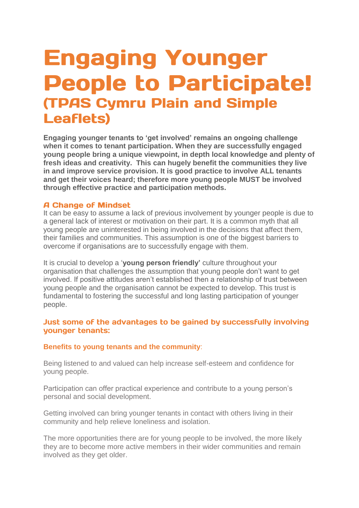# **Engaging Younger People to Participate! (TPAS Cymru Plain and Simple Leaflets)**

**Engaging younger tenants to 'get involved' remains an ongoing challenge when it comes to tenant participation. When they are successfully engaged young people bring a unique viewpoint, in depth local knowledge and plenty of fresh ideas and creativity. This can hugely benefit the communities they live in and improve service provision. It is good practice to involve ALL tenants and get their voices heard; therefore more young people MUST be involved through effective practice and participation methods.**

#### **A Change of Mindset**

It can be easy to assume a lack of previous involvement by younger people is due to a general lack of interest or motivation on their part. It is a common myth that all young people are uninterested in being involved in the decisions that affect them, their families and communities. This assumption is one of the biggest barriers to overcome if organisations are to successfully engage with them.

It is crucial to develop a '**young person friendly'** culture throughout your organisation that challenges the assumption that young people don't want to get involved. If positive attitudes aren't established then a relationship of trust between young people and the organisation cannot be expected to develop. This trust is fundamental to fostering the successful and long lasting participation of younger people.

## Just some of the advantages to be gained by successfully involving vounger tenants:

#### **Benefits to young tenants and the community**:

Being listened to and valued can help increase self-esteem and confidence for young people.

Participation can offer practical experience and contribute to a young person's personal and social development.

Getting involved can bring younger tenants in contact with others living in their community and help relieve loneliness and isolation.

The more opportunities there are for young people to be involved, the more likely they are to become more active members in their wider communities and remain involved as they get older.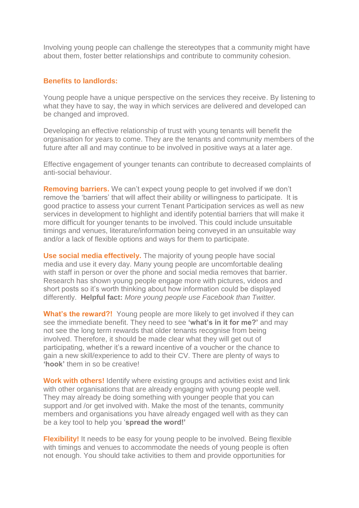Involving young people can challenge the stereotypes that a community might have about them, foster better relationships and contribute to community cohesion.

#### **Benefits to landlords:**

Young people have a unique perspective on the services they receive. By listening to what they have to say, the way in which services are delivered and developed can be changed and improved.

Developing an effective relationship of trust with young tenants will benefit the organisation for years to come. They are the tenants and community members of the future after all and may continue to be involved in positive ways at a later age.

Effective engagement of younger tenants can contribute to decreased complaints of anti-social behaviour.

**Removing barriers.** We can't expect young people to get involved if we don't remove the 'barriers' that will affect their ability or willingness to participate. It is good practice to assess your current Tenant Participation services as well as new services in development to highlight and identify potential barriers that will make it more difficult for younger tenants to be involved. This could include unsuitable timings and venues, literature/information being conveyed in an unsuitable way and/or a lack of flexible options and ways for them to participate.

**Use social media effectively.** The majority of young people have social media and use it every day. Many young people are uncomfortable dealing with staff in person or over the phone and social media removes that barrier. Research has shown young people engage more with pictures, videos and short posts so it's worth thinking about how information could be displayed differently. **Helpful fact:** *More young people use Facebook than Twitter.*

**What's the reward?!** Young people are more likely to get involved if they can see the immediate benefit. They need to see **'what's in it for me?'** and may not see the long term rewards that older tenants recognise from being involved. Therefore, it should be made clear what they will get out of participating, whether it's a reward incentive of a voucher or the chance to gain a new skill/experience to add to their CV. There are plenty of ways to **'hook'** them in so be creative!

**Work with others!** Identify where existing groups and activities exist and link with other organisations that are already engaging with young people well. They may already be doing something with younger people that you can support and /or get involved with. Make the most of the tenants, community members and organisations you have already engaged well with as they can be a key tool to help you '**spread the word!'**

**Flexibility!** It needs to be easy for young people to be involved. Being flexible with timings and venues to accommodate the needs of young people is often not enough. You should take activities to them and provide opportunities for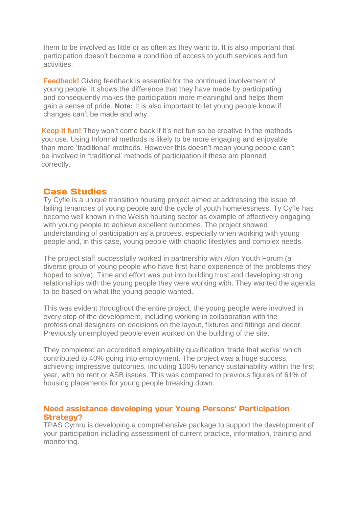them to be involved as little or as often as they want to. It is also important that participation doesn't become a condition of access to youth services and fun activities.

**Feedback!** Giving feedback is essential for the continued involvement of young people. It shows the difference that they have made by participating and consequently makes the participation more meaningful and helps them gain a sense of pride. **Note:** It is also important to let young people know if changes can't be made and why.

**Keep it fun!** They won't come back if it's not fun so be creative in the methods you use. Using Informal methods is likely to be more engaging and enjoyable than more 'traditional' methods. However this doesn't mean young people can't be involved in 'traditional' methods of participation if these are planned correctly.

## **Case Studies**

Ty Cyfle is a unique transition housing project aimed at addressing the issue of failing tenancies of young people and the cycle of youth homelessness. Ty Cyfle has become well known in the Welsh housing sector as example of effectively engaging with young people to achieve excellent outcomes. The project showed understanding of participation as a process, especially when working with young people and, in this case, young people with chaotic lifestyles and complex needs.

The project staff successfully worked in partnership with Afon Youth Forum (a diverse group of young people who have first-hand experience of the problems they hoped to solve). Time and effort was put into building trust and developing strong relationships with the young people they were working with. They wanted the agenda to be based on what the young people wanted.

This was evident throughout the entire project, the young people were involved in every step of the development, including working in collaboration with the professional designers on decisions on the layout, fixtures and fittings and decor. Previously unemployed people even worked on the building of the site.

They completed an accredited employability qualification 'trade that works' which contributed to 40% going into employment. The project was a huge success, achieving impressive outcomes, including 100% tenancy sustainability within the first year, with no rent or ASB issues. This was compared to previous figures of 61% of housing placements for young people breaking down.

## Need assistance developing your Young Persons' Participation **Strategy?**

TPAS Cymru is developing a comprehensive package to support the development of your participation including assessment of current practice, information, training and monitoring.